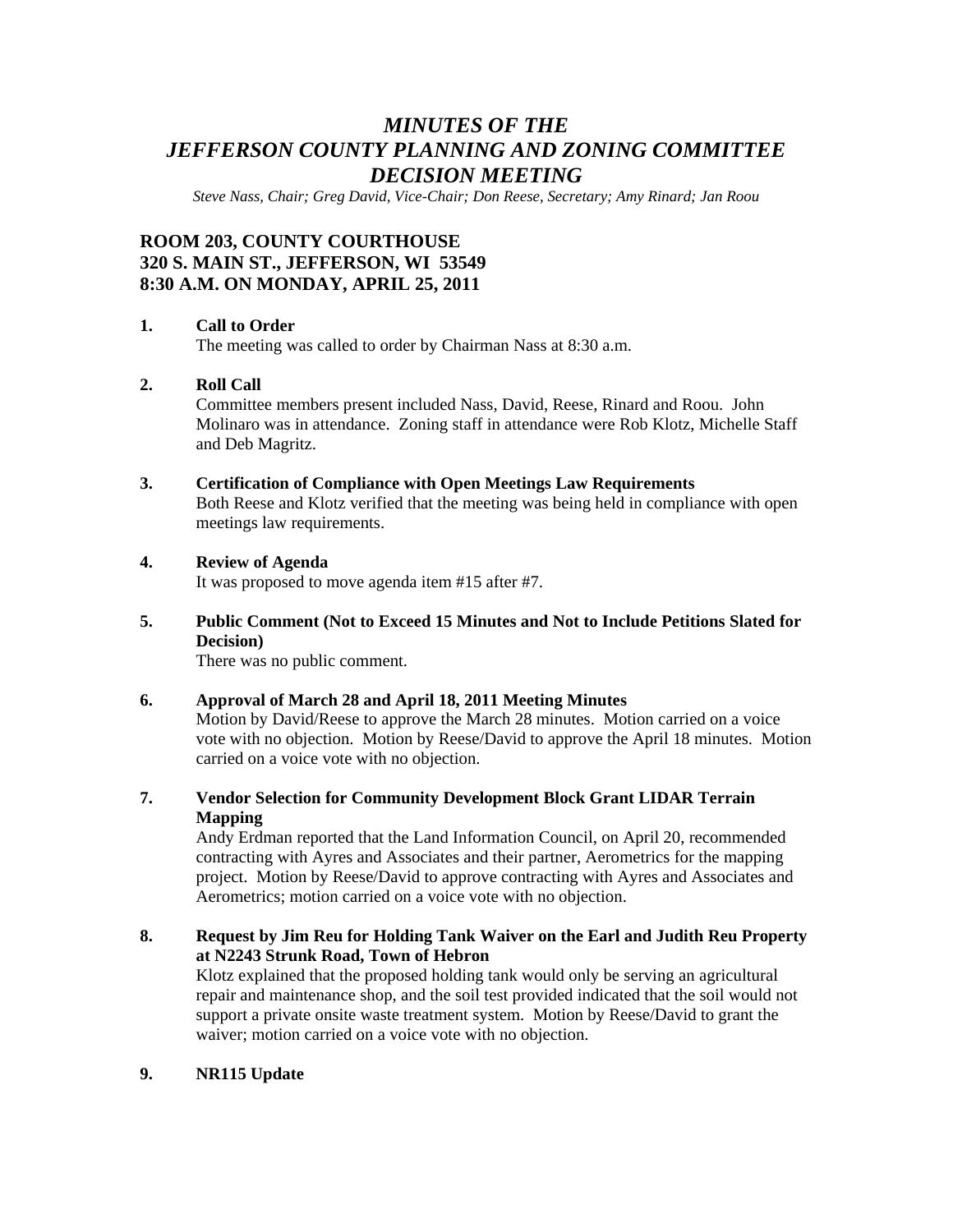# *MINUTES OF THE JEFFERSON COUNTY PLANNING AND ZONING COMMITTEE DECISION MEETING*

*Steve Nass, Chair; Greg David, Vice-Chair; Don Reese, Secretary; Amy Rinard; Jan Roou* 

# **ROOM 203, COUNTY COURTHOUSE 320 S. MAIN ST., JEFFERSON, WI 53549 8:30 A.M. ON MONDAY, APRIL 25, 2011**

### **1. Call to Order**

The meeting was called to order by Chairman Nass at 8:30 a.m.

## **2. Roll Call**

Committee members present included Nass, David, Reese, Rinard and Roou. John Molinaro was in attendance. Zoning staff in attendance were Rob Klotz, Michelle Staff and Deb Magritz.

#### **3. Certification of Compliance with Open Meetings Law Requirements**

Both Reese and Klotz verified that the meeting was being held in compliance with open meetings law requirements.

#### **4. Review of Agenda**

It was proposed to move agenda item #15 after #7.

## **5. Public Comment (Not to Exceed 15 Minutes and Not to Include Petitions Slated for Decision)**

There was no public comment.

#### **6. Approval of March 28 and April 18, 2011 Meeting Minutes**

Motion by David/Reese to approve the March 28 minutes. Motion carried on a voice vote with no objection. Motion by Reese/David to approve the April 18 minutes. Motion carried on a voice vote with no objection.

**7. Vendor Selection for Community Development Block Grant LIDAR Terrain Mapping** 

Andy Erdman reported that the Land Information Council, on April 20, recommended contracting with Ayres and Associates and their partner, Aerometrics for the mapping project. Motion by Reese/David to approve contracting with Ayres and Associates and Aerometrics; motion carried on a voice vote with no objection.

### **8. Request by Jim Reu for Holding Tank Waiver on the Earl and Judith Reu Property at N2243 Strunk Road, Town of Hebron**

Klotz explained that the proposed holding tank would only be serving an agricultural repair and maintenance shop, and the soil test provided indicated that the soil would not support a private onsite waste treatment system. Motion by Reese/David to grant the waiver; motion carried on a voice vote with no objection.

### **9. NR115 Update**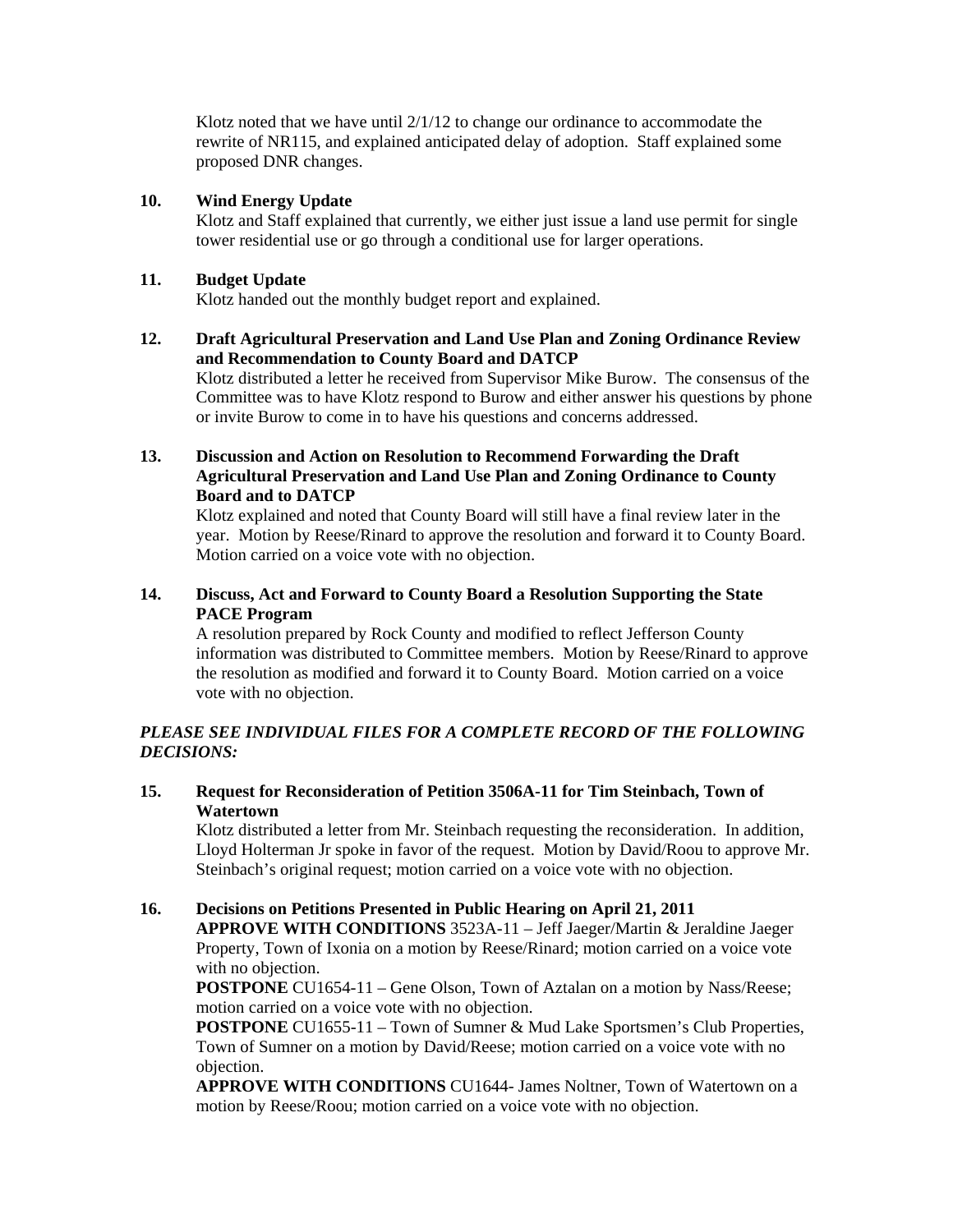Klotz noted that we have until  $2/1/12$  to change our ordinance to accommodate the rewrite of NR115, and explained anticipated delay of adoption. Staff explained some proposed DNR changes.

### **10. Wind Energy Update**

Klotz and Staff explained that currently, we either just issue a land use permit for single tower residential use or go through a conditional use for larger operations.

## **11. Budget Update**

Klotz handed out the monthly budget report and explained.

## **12. Draft Agricultural Preservation and Land Use Plan and Zoning Ordinance Review and Recommendation to County Board and DATCP**

Klotz distributed a letter he received from Supervisor Mike Burow. The consensus of the Committee was to have Klotz respond to Burow and either answer his questions by phone or invite Burow to come in to have his questions and concerns addressed.

## **13. Discussion and Action on Resolution to Recommend Forwarding the Draft Agricultural Preservation and Land Use Plan and Zoning Ordinance to County Board and to DATCP**

Klotz explained and noted that County Board will still have a final review later in the year. Motion by Reese/Rinard to approve the resolution and forward it to County Board. Motion carried on a voice vote with no objection.

## **14. Discuss, Act and Forward to County Board a Resolution Supporting the State PACE Program**

A resolution prepared by Rock County and modified to reflect Jefferson County information was distributed to Committee members. Motion by Reese/Rinard to approve the resolution as modified and forward it to County Board. Motion carried on a voice vote with no objection.

## *PLEASE SEE INDIVIDUAL FILES FOR A COMPLETE RECORD OF THE FOLLOWING DECISIONS:*

## **15. Request for Reconsideration of Petition 3506A-11 for Tim Steinbach, Town of Watertown**

Klotz distributed a letter from Mr. Steinbach requesting the reconsideration. In addition, Lloyd Holterman Jr spoke in favor of the request. Motion by David/Roou to approve Mr. Steinbach's original request; motion carried on a voice vote with no objection.

## **16. Decisions on Petitions Presented in Public Hearing on April 21, 2011**

**APPROVE WITH CONDITIONS** 3523A-11 – Jeff Jaeger/Martin & Jeraldine Jaeger Property, Town of Ixonia on a motion by Reese/Rinard; motion carried on a voice vote with no objection.

**POSTPONE** CU1654-11 – Gene Olson, Town of Aztalan on a motion by Nass/Reese; motion carried on a voice vote with no objection.

**POSTPONE** CU1655-11 – Town of Sumner & Mud Lake Sportsmen's Club Properties, Town of Sumner on a motion by David/Reese; motion carried on a voice vote with no objection.

**APPROVE WITH CONDITIONS** CU1644- James Noltner, Town of Watertown on a motion by Reese/Roou; motion carried on a voice vote with no objection.